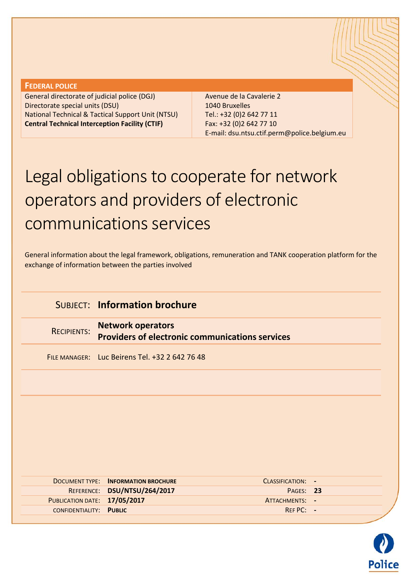#### **FEDERAL POLICE**

General directorate of judicial police (DGJ) Directorate special units (DSU) National Technical & Tactical Support Unit (NTSU) **Central Technical Interception Facility (CTIF)**

Avenue de la Cavalerie 2 1040 Bruxelles Tel.: +32 (0)2 642 77 11 Fax: +32 (0)2 642 77 10 E-mail: dsu.ntsu.ctif.perm@police.belgium.eu

# Legal obligations to cooperate for network operators and providers of electronic communications services

General information about the legal framework, obligations, remuneration and TANK cooperation platform for the exchange of information between the parties involved

## SUBJECT: **Information brochure**

RECIPIENTS: **Network operators Providers of electronic communications services**

FILE MANAGER: Luc Beirens Tel. +32 2 642 76 48

|                              | <b>DOCUMENT TYPE: INFORMATION BROCHURE</b> | CLASSIFICATION: - |  |
|------------------------------|--------------------------------------------|-------------------|--|
|                              | REFERENCE: DSU/NTSU/264/2017               | PAGES: 23         |  |
| PUBLICATION DATE: 17/05/2017 |                                            | ATTACHMENTS: -    |  |
| CONFIDENTIALITY: PUBLIC      |                                            | $RFFPC: -$        |  |
|                              |                                            |                   |  |

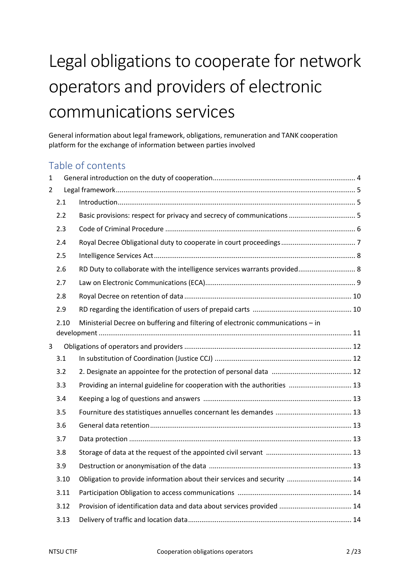# Legal obligations to cooperate for network operators and providers of electronic communications services

General information about legal framework, obligations, remuneration and TANK cooperation platform for the exchange of information between parties involved

## Table of contents

| $\mathbf{1}$   |      |                                                                                 |  |
|----------------|------|---------------------------------------------------------------------------------|--|
| $\overline{2}$ |      |                                                                                 |  |
|                | 2.1  |                                                                                 |  |
|                | 2.2  |                                                                                 |  |
|                | 2.3  |                                                                                 |  |
|                | 2.4  |                                                                                 |  |
|                | 2.5  |                                                                                 |  |
|                | 2.6  | RD Duty to collaborate with the intelligence services warrants provided 8       |  |
|                | 2.7  |                                                                                 |  |
|                | 2.8  |                                                                                 |  |
|                | 2.9  |                                                                                 |  |
|                | 2.10 | Ministerial Decree on buffering and filtering of electronic communications - in |  |
|                |      |                                                                                 |  |
| $\overline{3}$ |      |                                                                                 |  |
|                | 3.1  |                                                                                 |  |
|                | 3.2  |                                                                                 |  |
|                | 3.3  | Providing an internal guideline for cooperation with the authorities  13        |  |
|                | 3.4  |                                                                                 |  |
|                | 3.5  |                                                                                 |  |
|                | 3.6  |                                                                                 |  |
|                | 3.7  |                                                                                 |  |
|                | 3.8  |                                                                                 |  |
|                | 3.9  |                                                                                 |  |
|                | 3.10 | Obligation to provide information about their services and security  14         |  |
|                | 3.11 |                                                                                 |  |
|                | 3.12 |                                                                                 |  |
|                | 3.13 |                                                                                 |  |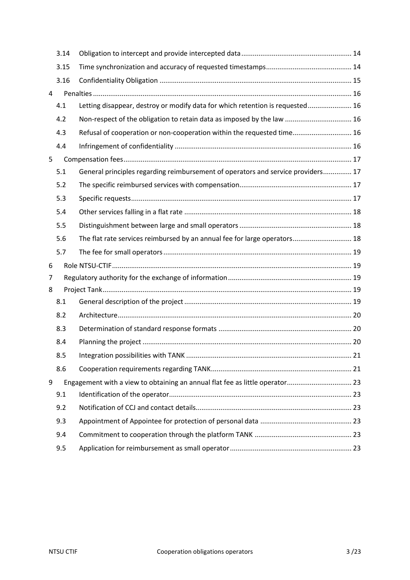|   | 3.14 |                                                                                  |  |
|---|------|----------------------------------------------------------------------------------|--|
|   |      |                                                                                  |  |
|   | 3.15 |                                                                                  |  |
|   | 3.16 |                                                                                  |  |
| 4 |      |                                                                                  |  |
|   | 4.1  | Letting disappear, destroy or modify data for which retention is requested 16    |  |
|   | 4.2  | Non-respect of the obligation to retain data as imposed by the law  16           |  |
|   | 4.3  | Refusal of cooperation or non-cooperation within the requested time 16           |  |
|   | 4.4  |                                                                                  |  |
| 5 |      |                                                                                  |  |
|   | 5.1  | General principles regarding reimbursement of operators and service providers 17 |  |
|   | 5.2  |                                                                                  |  |
|   | 5.3  |                                                                                  |  |
|   | 5.4  |                                                                                  |  |
|   | 5.5  |                                                                                  |  |
|   | 5.6  | The flat rate services reimbursed by an annual fee for large operators 18        |  |
|   | 5.7  |                                                                                  |  |
| 6 |      |                                                                                  |  |
| 7 |      |                                                                                  |  |
| 8 |      |                                                                                  |  |
|   | 8.1  |                                                                                  |  |
|   | 8.2  |                                                                                  |  |
|   | 8.3  |                                                                                  |  |
|   | 8.4  |                                                                                  |  |
|   | 8.5  |                                                                                  |  |
|   | 8.6  |                                                                                  |  |
| 9 |      | Engagement with a view to obtaining an annual flat fee as little operator 23     |  |
|   | 9.1  |                                                                                  |  |
|   | 9.2  |                                                                                  |  |
|   | 9.3  |                                                                                  |  |
|   | 9.4  |                                                                                  |  |
|   | 9.5  |                                                                                  |  |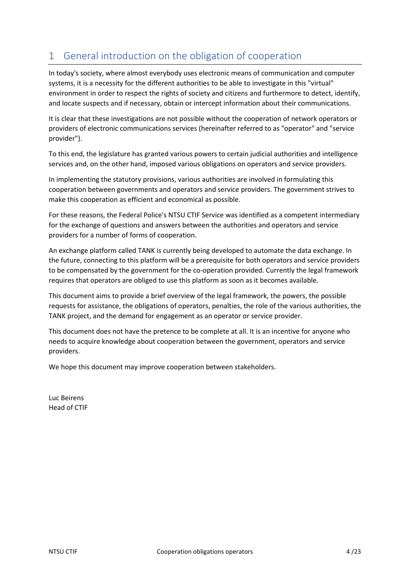# <span id="page-3-0"></span>1 General introduction on the obligation of cooperation

In today's society, where almost everybody uses electronic means of communication and computer systems, it is a necessity for the different authorities to be able to investigate in this "virtual" environment in order to respect the rights of society and citizens and furthermore to detect, identify, and locate suspects and if necessary, obtain or intercept information about their communications.

It is clear that these investigations are not possible without the cooperation of network operators or providers of electronic communications services (hereinafter referred to as "operator" and "service provider").

To this end, the legislature has granted various powers to certain judicial authorities and intelligence services and, on the other hand, imposed various obligations on operators and service providers.

In implementing the statutory provisions, various authorities are involved in formulating this cooperation between governments and operators and service providers. The government strives to make this cooperation as efficient and economical as possible.

For these reasons, the Federal Police's NTSU CTIF Service was identified as a competent intermediary for the exchange of questions and answers between the authorities and operators and service providers for a number of forms of cooperation.

An exchange platform called TANK is currently being developed to automate the data exchange. In the future, connecting to this platform will be a prerequisite for both operators and service providers to be compensated by the government for the co-operation provided. Currently the legal framework requires that operators are obliged to use this platform as soon as it becomes available.

This document aims to provide a brief overview of the legal framework, the powers, the possible requests for assistance, the obligations of operators, penalties, the role of the various authorities, the TANK project, and the demand for engagement as an operator or service provider.

This document does not have the pretence to be complete at all. It is an incentive for anyone who needs to acquire knowledge about cooperation between the government, operators and service providers.

We hope this document may improve cooperation between stakeholders.

Luc Beirens Head of CTIF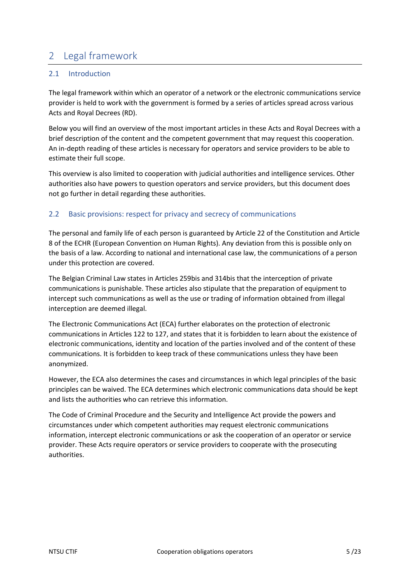# <span id="page-4-0"></span>2 Legal framework

## <span id="page-4-1"></span>2.1 Introduction

The legal framework within which an operator of a network or the electronic communications service provider is held to work with the government is formed by a series of articles spread across various Acts and Royal Decrees (RD).

Below you will find an overview of the most important articles in these Acts and Royal Decrees with a brief description of the content and the competent government that may request this cooperation. An in-depth reading of these articles is necessary for operators and service providers to be able to estimate their full scope.

This overview is also limited to cooperation with judicial authorities and intelligence services. Other authorities also have powers to question operators and service providers, but this document does not go further in detail regarding these authorities.

## <span id="page-4-2"></span>2.2 Basic provisions: respect for privacy and secrecy of communications

The personal and family life of each person is guaranteed by Article 22 of the Constitution and Article 8 of the ECHR (European Convention on Human Rights). Any deviation from this is possible only on the basis of a law. According to national and international case law, the communications of a person under this protection are covered.

The Belgian Criminal Law states in Articles 259bis and 314bis that the interception of private communications is punishable. These articles also stipulate that the preparation of equipment to intercept such communications as well as the use or trading of information obtained from illegal interception are deemed illegal.

The Electronic Communications Act (ECA) further elaborates on the protection of electronic communications in Articles 122 to 127, and states that it is forbidden to learn about the existence of electronic communications, identity and location of the parties involved and of the content of these communications. It is forbidden to keep track of these communications unless they have been anonymized.

However, the ECA also determines the cases and circumstances in which legal principles of the basic principles can be waived. The ECA determines which electronic communications data should be kept and lists the authorities who can retrieve this information.

The Code of Criminal Procedure and the Security and Intelligence Act provide the powers and circumstances under which competent authorities may request electronic communications information, intercept electronic communications or ask the cooperation of an operator or service provider. These Acts require operators or service providers to cooperate with the prosecuting authorities.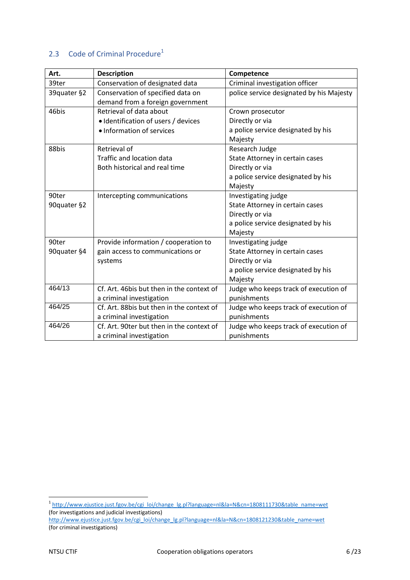## <span id="page-5-0"></span>2.3 Code of Criminal Procedure<sup>1</sup>

| Art.        | <b>Description</b>                        | Competence                               |
|-------------|-------------------------------------------|------------------------------------------|
| 39ter       | Conservation of designated data           | Criminal investigation officer           |
| 39quater §2 | Conservation of specified data on         | police service designated by his Majesty |
|             | demand from a foreign government          |                                          |
| 46bis       | Retrieval of data about                   | Crown prosecutor                         |
|             | · Identification of users / devices       | Directly or via                          |
|             | · Information of services                 | a police service designated by his       |
|             |                                           | Majesty                                  |
| 88bis       | Retrieval of                              | Research Judge                           |
|             | Traffic and location data                 | State Attorney in certain cases          |
|             | Both historical and real time             | Directly or via                          |
|             |                                           | a police service designated by his       |
|             |                                           | Majesty                                  |
| 90ter       | Intercepting communications               | Investigating judge                      |
| 90quater §2 |                                           | State Attorney in certain cases          |
|             |                                           | Directly or via                          |
|             |                                           | a police service designated by his       |
|             |                                           | Majesty                                  |
| 90ter       | Provide information / cooperation to      | Investigating judge                      |
| 90quater §4 | gain access to communications or          | State Attorney in certain cases          |
|             | systems                                   | Directly or via                          |
|             |                                           | a police service designated by his       |
|             |                                           | Majesty                                  |
| 464/13      | Cf. Art. 46bis but then in the context of | Judge who keeps track of execution of    |
|             | a criminal investigation                  | punishments                              |
| 464/25      | Cf. Art. 88bis but then in the context of | Judge who keeps track of execution of    |
|             | a criminal investigation                  | punishments                              |
| 464/26      | Cf. Art. 90ter but then in the context of | Judge who keeps track of execution of    |
|             | a criminal investigation                  | punishments                              |

nder<br>1 [http://www.ejustice.just.fgov.be/cgi\\_loi/change\\_lg.pl?language=nl&la=N&cn=1808111730&table\\_name=wet](http://www.ejustice.just.fgov.be/cgi_loi/change_lg.pl?language=nl&la=N&cn=1808111730&table_name=wet) (for investigations and judicial investigations)

[http://www.ejustice.just.fgov.be/cgi\\_loi/change\\_lg.pl?language=nl&la=N&cn=1808121230&table\\_name=wet](http://www.ejustice.just.fgov.be/cgi_loi/change_lg.pl?language=nl&la=N&cn=1808121230&table_name=wet) (for criminal investigations)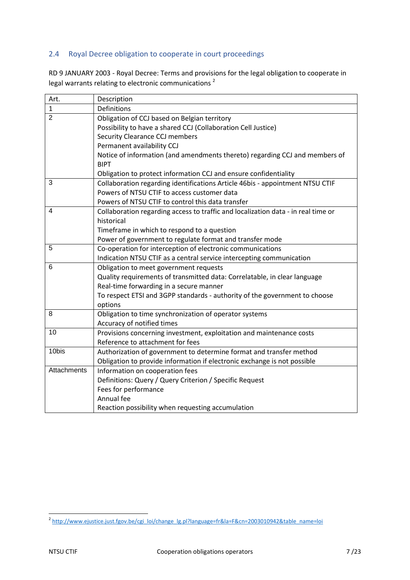## <span id="page-6-0"></span>2.4 Royal Decree obligation to cooperate in court proceedings

RD 9 JANUARY 2003 - Royal Decree: Terms and provisions for the legal obligation to cooperate in legal warrants relating to electronic communications<sup>2</sup>

| Art.               | Description                                                                       |
|--------------------|-----------------------------------------------------------------------------------|
| $\mathbf{1}$       | <b>Definitions</b>                                                                |
| $\overline{2}$     | Obligation of CCJ based on Belgian territory                                      |
|                    | Possibility to have a shared CCJ (Collaboration Cell Justice)                     |
|                    | Security Clearance CCJ members                                                    |
|                    | Permanent availability CCJ                                                        |
|                    | Notice of information (and amendments thereto) regarding CCJ and members of       |
|                    | <b>BIPT</b>                                                                       |
|                    | Obligation to protect information CCJ and ensure confidentiality                  |
| 3                  | Collaboration regarding identifications Article 46bis - appointment NTSU CTIF     |
|                    | Powers of NTSU CTIF to access customer data                                       |
|                    | Powers of NTSU CTIF to control this data transfer                                 |
| 4                  | Collaboration regarding access to traffic and localization data - in real time or |
|                    | historical                                                                        |
|                    | Timeframe in which to respond to a question                                       |
|                    | Power of government to regulate format and transfer mode                          |
| 5                  | Co-operation for interception of electronic communications                        |
|                    | Indication NTSU CTIF as a central service intercepting communication              |
| 6                  | Obligation to meet government requests                                            |
|                    | Quality requirements of transmitted data: Correlatable, in clear language         |
|                    | Real-time forwarding in a secure manner                                           |
|                    | To respect ETSI and 3GPP standards - authority of the government to choose        |
|                    | options                                                                           |
| 8                  | Obligation to time synchronization of operator systems                            |
|                    | Accuracy of notified times                                                        |
| 10                 | Provisions concerning investment, exploitation and maintenance costs              |
|                    | Reference to attachment for fees                                                  |
| 10bis              | Authorization of government to determine format and transfer method               |
|                    | Obligation to provide information if electronic exchange is not possible          |
| <b>Attachments</b> | Information on cooperation fees                                                   |
|                    | Definitions: Query / Query Criterion / Specific Request                           |
|                    | Fees for performance                                                              |
|                    | Annual fee                                                                        |
|                    | Reaction possibility when requesting accumulation                                 |

 2 [http://www.ejustice.just.fgov.be/cgi\\_loi/change\\_lg.pl?language=fr&la=F&cn=2003010942&table\\_name=loi](http://www.ejustice.just.fgov.be/cgi_loi/change_lg.pl?language=fr&la=F&cn=2003010942&table_name=loi)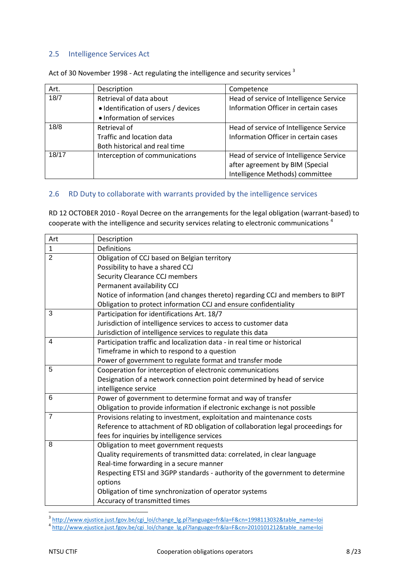## <span id="page-7-0"></span>2.5 Intelligence Services Act

| Art.  | Description                         | Competence                              |
|-------|-------------------------------------|-----------------------------------------|
| 18/7  | Retrieval of data about             | Head of service of Intelligence Service |
|       | • Identification of users / devices | Information Officer in certain cases    |
|       | • Information of services           |                                         |
| 18/8  | Retrieval of                        | Head of service of Intelligence Service |
|       | Traffic and location data           | Information Officer in certain cases    |
|       | Both historical and real time       |                                         |
| 18/17 | Interception of communications      | Head of service of Intelligence Service |
|       |                                     | after agreement by BIM (Special         |
|       |                                     | Intelligence Methods) committee         |

Act of 30 November 1998 - Act regulating the intelligence and security services<sup>3</sup>

## <span id="page-7-1"></span>2.6 RD Duty to collaborate with warrants provided by the intelligence services

RD 12 OCTOBER 2010 - Royal Decree on the arrangements for the legal obligation (warrant-based) to cooperate with the intelligence and security services relating to electronic communications<sup>4</sup>

| Art            | Description                                                                     |
|----------------|---------------------------------------------------------------------------------|
| $\mathbf{1}$   | Definitions                                                                     |
| $\overline{2}$ | Obligation of CCJ based on Belgian territory                                    |
|                | Possibility to have a shared CCJ                                                |
|                | Security Clearance CCJ members                                                  |
|                | Permanent availability CCJ                                                      |
|                | Notice of information (and changes thereto) regarding CCJ and members to BIPT   |
|                | Obligation to protect information CCJ and ensure confidentiality                |
| 3              | Participation for identifications Art. 18/7                                     |
|                | Jurisdiction of intelligence services to access to customer data                |
|                | Jurisdiction of intelligence services to regulate this data                     |
| 4              | Participation traffic and localization data - in real time or historical        |
|                | Timeframe in which to respond to a question                                     |
|                | Power of government to regulate format and transfer mode                        |
| 5              | Cooperation for interception of electronic communications                       |
|                | Designation of a network connection point determined by head of service         |
|                | intelligence service                                                            |
| 6              | Power of government to determine format and way of transfer                     |
|                | Obligation to provide information if electronic exchange is not possible        |
| $\overline{7}$ | Provisions relating to investment, exploitation and maintenance costs           |
|                | Reference to attachment of RD obligation of collaboration legal proceedings for |
|                | fees for inquiries by intelligence services                                     |
| 8              | Obligation to meet government requests                                          |
|                | Quality requirements of transmitted data: correlated, in clear language         |
|                | Real-time forwarding in a secure manner                                         |
|                | Respecting ETSI and 3GPP standards - authority of the government to determine   |
|                | options                                                                         |
|                | Obligation of time synchronization of operator systems                          |
|                | Accuracy of transmitted times                                                   |

<sup>3&</sup>lt;br>3 [http://www.ejustice.just.fgov.be/cgi\\_loi/change\\_lg.pl?language=fr&la=F&cn=1998113032&table\\_name=loi](http://www.ejustice.just.fgov.be/cgi_loi/change_lg.pl?language=fr&la=F&cn=1998113032&table_name=loi)<br>4 [http://www.ejustice.just.fgov.be/cgi\\_loi/change\\_lg.pl?language=fr&la=F&cn=2010101212&table\\_name=loi](http://www.ejustice.just.fgov.be/cgi_loi/change_lg.pl?language=fr&la=F&cn=2010101212&table_name=loi)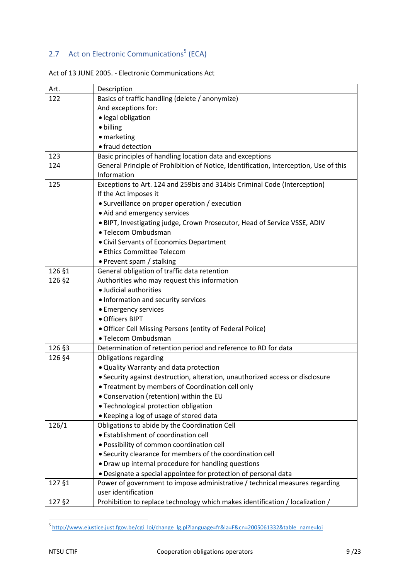## <span id="page-8-0"></span>2.7 Act on Electronic Communications<sup>5</sup> (ECA)

| Art.   | Description                                                                           |
|--------|---------------------------------------------------------------------------------------|
| 122    | Basics of traffic handling (delete / anonymize)                                       |
|        | And exceptions for:                                                                   |
|        | · legal obligation                                                                    |
|        | • billing                                                                             |
|        | • marketing                                                                           |
|        | • fraud detection                                                                     |
| 123    | Basic principles of handling location data and exceptions                             |
| 124    | General Principle of Prohibition of Notice, Identification, Interception, Use of this |
|        | Information                                                                           |
| 125    | Exceptions to Art. 124 and 259bis and 314bis Criminal Code (Interception)             |
|        | If the Act imposes it                                                                 |
|        | • Surveillance on proper operation / execution                                        |
|        | • Aid and emergency services                                                          |
|        | . BIPT, Investigating judge, Crown Prosecutor, Head of Service VSSE, ADIV             |
|        | · Telecom Ombudsman                                                                   |
|        | • Civil Servants of Economics Department                                              |
|        | • Ethics Committee Telecom                                                            |
|        | • Prevent spam / stalking                                                             |
| 126 §1 | General obligation of traffic data retention                                          |
| 126 §2 | Authorities who may request this information                                          |
|        | · Judicial authorities                                                                |
|        | • Information and security services                                                   |
|        | • Emergency services                                                                  |
|        | · Officers BIPT                                                                       |
|        | • Officer Cell Missing Persons (entity of Federal Police)                             |
|        | · Telecom Ombudsman                                                                   |
| 126 §3 | Determination of retention period and reference to RD for data                        |
| 126 §4 | <b>Obligations regarding</b>                                                          |
|        | . Quality Warranty and data protection                                                |
|        | · Security against destruction, alteration, unauthorized access or disclosure         |
|        | • Treatment by members of Coordination cell only                                      |
|        | • Conservation (retention) within the EU                                              |
|        | · Technological protection obligation                                                 |
|        | • Keeping a log of usage of stored data                                               |
| 126/1  | Obligations to abide by the Coordination Cell                                         |
|        | • Establishment of coordination cell                                                  |
|        | · Possibility of common coordination cell                                             |
|        | • Security clearance for members of the coordination cell                             |
|        | • Draw up internal procedure for handling questions                                   |
|        | · Designate a special appointee for protection of personal data                       |
| 127 §1 | Power of government to impose administrative / technical measures regarding           |
|        | user identification                                                                   |
| 127 §2 | Prohibition to replace technology which makes identification / localization /         |

<sup>&</sup>lt;u>-</u><br><sup>5</sup> [http://www.ejustice.just.fgov.be/cgi\\_loi/change\\_lg.pl?language=fr&la=F&cn=2005061332&table\\_name=loi](http://www.ejustice.just.fgov.be/cgi_loi/change_lg.pl?language=fr&la=F&cn=2005061332&table_name=loi)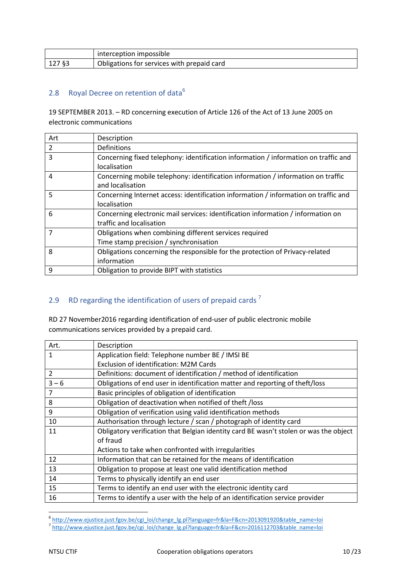|        | interception impossible                           |
|--------|---------------------------------------------------|
| 127 §3 | <b>Obligations for services with prepaid card</b> |

## <span id="page-9-0"></span>2.8 Royal Decree on retention of data<sup>6</sup>

19 SEPTEMBER 2013. – RD concerning execution of Article 126 of the Act of 13 June 2005 on electronic communications

| Art | Description                                                                         |
|-----|-------------------------------------------------------------------------------------|
| 2   | <b>Definitions</b>                                                                  |
| 3   | Concerning fixed telephony: identification information / information on traffic and |
|     | localisation                                                                        |
| 4   | Concerning mobile telephony: identification information / information on traffic    |
|     | and localisation                                                                    |
| 5   | Concerning Internet access: identification information / information on traffic and |
|     | localisation                                                                        |
| 6   | Concerning electronic mail services: identification information / information on    |
|     | traffic and localisation                                                            |
| 7   | Obligations when combining different services required                              |
|     | Time stamp precision / synchronisation                                              |
| 8   | Obligations concerning the responsible for the protection of Privacy-related        |
|     | information                                                                         |
| 9   | Obligation to provide BIPT with statistics                                          |

## <span id="page-9-1"></span>2.9 RD regarding the identification of users of prepaid cards<sup>7</sup>

RD 27 November2016 regarding identification of end-user of public electronic mobile communications services provided by a prepaid card.

| Art.           | Description                                                                           |
|----------------|---------------------------------------------------------------------------------------|
| $\mathbf{1}$   | Application field: Telephone number BE / IMSI BE                                      |
|                | <b>Exclusion of identification: M2M Cards</b>                                         |
| $\overline{2}$ | Definitions: document of identification / method of identification                    |
| $3 - 6$        | Obligations of end user in identification matter and reporting of theft/loss          |
| 7              | Basic principles of obligation of identification                                      |
| 8              | Obligation of deactivation when notified of theft /loss                               |
| 9              | Obligation of verification using valid identification methods                         |
| 10             | Authorisation through lecture / scan / photograph of identity card                    |
| 11             | Obligatory verification that Belgian identity card BE wasn't stolen or was the object |
|                | of fraud                                                                              |
|                | Actions to take when confronted with irregularities                                   |
| 12             | Information that can be retained for the means of identification                      |
| 13             | Obligation to propose at least one valid identification method                        |
| 14             | Terms to physically identify an end user                                              |
| 15             | Terms to identify an end user with the electronic identity card                       |
| 16             | Terms to identify a user with the help of an identification service provider          |

e<br>6 [http://www.ejustice.just.fgov.be/cgi\\_loi/change\\_lg.pl?language=fr&la=F&cn=2013091920&table\\_name=loi](http://www.ejustice.just.fgov.be/cgi_loi/change_lg.pl?language=fr&la=F&cn=2013091920&table_name=loi)<br>7 [http://www.ejustice.just.fgov.be/cgi\\_loi/change\\_lg.pl?language=fr&la=F&cn=2016112703&table\\_name=loi](http://www.ejustice.just.fgov.be/cgi_loi/change_lg.pl?language=fr&la=F&cn=2016112703&table_name=loi)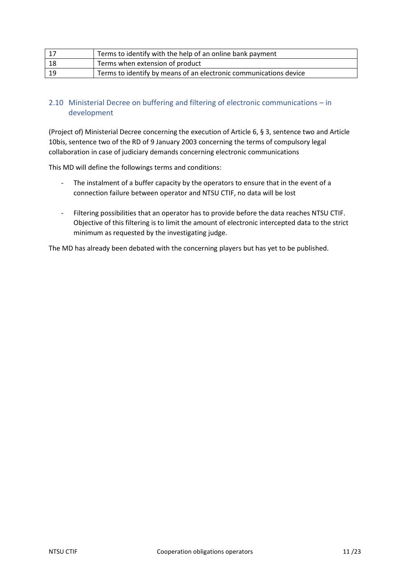| -17 | Terms to identify with the help of an online bank payment         |
|-----|-------------------------------------------------------------------|
| -18 | Terms when extension of product                                   |
| -19 | Terms to identify by means of an electronic communications device |

## <span id="page-10-0"></span>2.10 Ministerial Decree on buffering and filtering of electronic communications – in development

(Project of) Ministerial Decree concerning the execution of Article 6, § 3, sentence two and Article 10bis, sentence two of the RD of 9 January 2003 concerning the terms of compulsory legal collaboration in case of judiciary demands concerning electronic communications

This MD will define the followings terms and conditions:

- The instalment of a buffer capacity by the operators to ensure that in the event of a connection failure between operator and NTSU CTIF, no data will be lost
- Filtering possibilities that an operator has to provide before the data reaches NTSU CTIF. Objective of this filtering is to limit the amount of electronic intercepted data to the strict minimum as requested by the investigating judge.

The MD has already been debated with the concerning players but has yet to be published.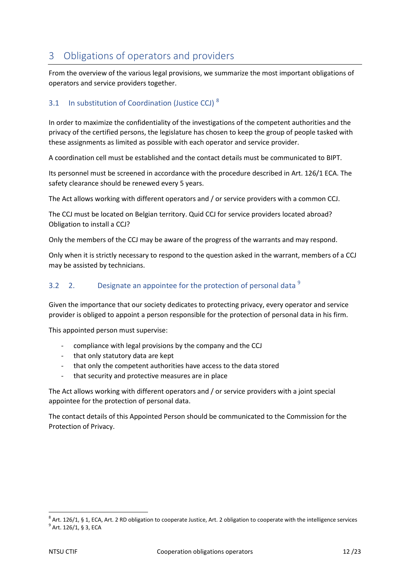# <span id="page-11-0"></span>3 Obligations of operators and providers

From the overview of the various legal provisions, we summarize the most important obligations of operators and service providers together.

## <span id="page-11-1"></span>3.1 In substitution of Coordination (Justice CCJ) $<sup>8</sup>$ </sup>

In order to maximize the confidentiality of the investigations of the competent authorities and the privacy of the certified persons, the legislature has chosen to keep the group of people tasked with these assignments as limited as possible with each operator and service provider.

A coordination cell must be established and the contact details must be communicated to BIPT.

Its personnel must be screened in accordance with the procedure described in Art. 126/1 ECA. The safety clearance should be renewed every 5 years.

The Act allows working with different operators and / or service providers with a common CCJ.

The CCJ must be located on Belgian territory. Quid CCJ for service providers located abroad? Obligation to install a CCJ?

Only the members of the CCJ may be aware of the progress of the warrants and may respond.

Only when it is strictly necessary to respond to the question asked in the warrant, members of a CCJ may be assisted by technicians.

## <span id="page-11-2"></span>3.2 2. Designate an appointee for the protection of personal data  $9$

Given the importance that our society dedicates to protecting privacy, every operator and service provider is obliged to appoint a person responsible for the protection of personal data in his firm.

This appointed person must supervise:

- compliance with legal provisions by the company and the CCJ
- that only statutory data are kept
- that only the competent authorities have access to the data stored
- that security and protective measures are in place

The Act allows working with different operators and / or service providers with a joint special appointee for the protection of personal data.

The contact details of this Appointed Person should be communicated to the Commission for the Protection of Privacy.

**.** 

 $^8$  Art. 126/1, § 1, ECA, Art. 2 RD obligation to cooperate Justice, Art. 2 obligation to cooperate with the intelligence services

 $^9$  Art. 126/1, § 3, ECA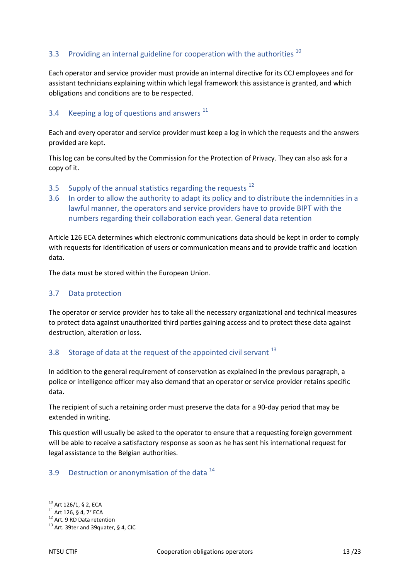## <span id="page-12-0"></span>3.3 Providing an internal guideline for cooperation with the authorities  $^{10}$

Each operator and service provider must provide an internal directive for its CCJ employees and for assistant technicians explaining within which legal framework this assistance is granted, and which obligations and conditions are to be respected.

#### <span id="page-12-1"></span>3.4 Keeping a log of questions and answers  $^{11}$

Each and every operator and service provider must keep a log in which the requests and the answers provided are kept.

This log can be consulted by the Commission for the Protection of Privacy. They can also ask for a copy of it.

- <span id="page-12-2"></span>3.5 Supply of the annual statistics regarding the requests  $^{12}$
- <span id="page-12-3"></span>3.6 In order to allow the authority to adapt its policy and to distribute the indemnities in a lawful manner, the operators and service providers have to provide BIPT with the numbers regarding their collaboration each year. General data retention

Article 126 ECA determines which electronic communications data should be kept in order to comply with requests for identification of users or communication means and to provide traffic and location data.

The data must be stored within the European Union.

#### <span id="page-12-4"></span>3.7 Data protection

The operator or service provider has to take all the necessary organizational and technical measures to protect data against unauthorized third parties gaining access and to protect these data against destruction, alteration or loss.

## <span id="page-12-5"></span>3.8 Storage of data at the request of the appointed civil servant  $^{13}$

In addition to the general requirement of conservation as explained in the previous paragraph, a police or intelligence officer may also demand that an operator or service provider retains specific data.

The recipient of such a retaining order must preserve the data for a 90-day period that may be extended in writing.

This question will usually be asked to the operator to ensure that a requesting foreign government will be able to receive a satisfactory response as soon as he has sent his international request for legal assistance to the Belgian authorities.

## <span id="page-12-6"></span>3.9 Destruction or anonymisation of the data <sup>14</sup>

**.** 

 $^{10}$  Art 126/1, § 2, ECA

 $^{11}$  Art 126, § 4, 7° ECA

<sup>&</sup>lt;sup>12</sup> Art. 9 RD Data retention

<sup>&</sup>lt;sup>13</sup> Art. 39ter and 39quater, § 4, CIC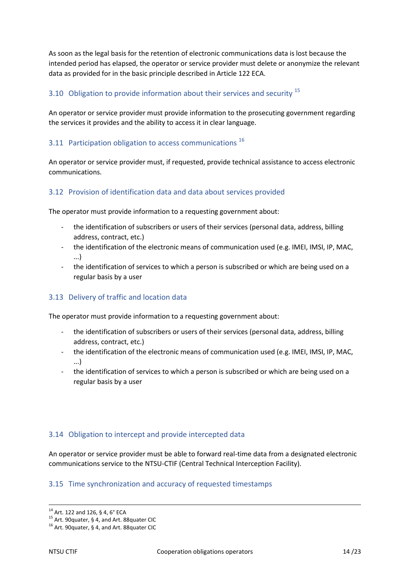As soon as the legal basis for the retention of electronic communications data is lost because the intended period has elapsed, the operator or service provider must delete or anonymize the relevant data as provided for in the basic principle described in Article 122 ECA.

## <span id="page-13-0"></span>3.10 Obligation to provide information about their services and security <sup>15</sup>

An operator or service provider must provide information to the prosecuting government regarding the services it provides and the ability to access it in clear language.

## <span id="page-13-1"></span>3.11 Participation obligation to access communications<sup>16</sup>

An operator or service provider must, if requested, provide technical assistance to access electronic communications.

#### <span id="page-13-2"></span>3.12 Provision of identification data and data about services provided

The operator must provide information to a requesting government about:

- the identification of subscribers or users of their services (personal data, address, billing address, contract, etc.)
- the identification of the electronic means of communication used (e.g. IMEI, IMSI, IP, MAC, ...)
- the identification of services to which a person is subscribed or which are being used on a regular basis by a user

## <span id="page-13-3"></span>3.13 Delivery of traffic and location data

The operator must provide information to a requesting government about:

- the identification of subscribers or users of their services (personal data, address, billing address, contract, etc.)
- the identification of the electronic means of communication used (e.g. IMEI, IMSI, IP, MAC, ...)
- the identification of services to which a person is subscribed or which are being used on a regular basis by a user

#### <span id="page-13-4"></span>3.14 Obligation to intercept and provide intercepted data

An operator or service provider must be able to forward real-time data from a designated electronic communications service to the NTSU-CTIF (Central Technical Interception Facility).

#### <span id="page-13-5"></span>3.15 Time synchronization and accuracy of requested timestamps

 $\overline{a}$ 

<sup>14</sup> Art. 122 and 126, § 4, 6° ECA

<sup>15</sup> Art. 90quater, § 4, and Art. 88quater CIC

<sup>&</sup>lt;sup>16</sup> Art. 90quater, § 4, and Art. 88quater CIC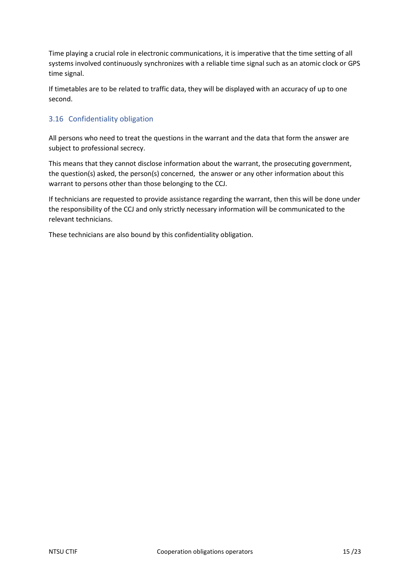Time playing a crucial role in electronic communications, it is imperative that the time setting of all systems involved continuously synchronizes with a reliable time signal such as an atomic clock or GPS time signal.

If timetables are to be related to traffic data, they will be displayed with an accuracy of up to one second.

## <span id="page-14-0"></span>3.16 Confidentiality obligation

All persons who need to treat the questions in the warrant and the data that form the answer are subject to professional secrecy.

This means that they cannot disclose information about the warrant, the prosecuting government, the question(s) asked, the person(s) concerned, the answer or any other information about this warrant to persons other than those belonging to the CCJ.

If technicians are requested to provide assistance regarding the warrant, then this will be done under the responsibility of the CCJ and only strictly necessary information will be communicated to the relevant technicians.

These technicians are also bound by this confidentiality obligation.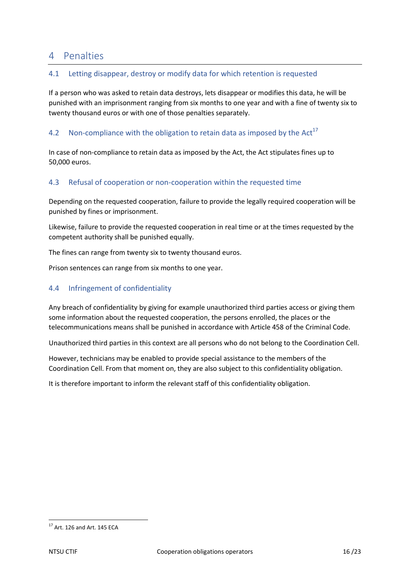## <span id="page-15-0"></span>4 Penalties

## <span id="page-15-1"></span>4.1 Letting disappear, destroy or modify data for which retention is requested

If a person who was asked to retain data destroys, lets disappear or modifies this data, he will be punished with an imprisonment ranging from six months to one year and with a fine of twenty six to twenty thousand euros or with one of those penalties separately.

## <span id="page-15-2"></span>4.2 Non-compliance with the obligation to retain data as imposed by the Act<sup>17</sup>

In case of non-compliance to retain data as imposed by the Act, the Act stipulates fines up to 50,000 euros.

#### <span id="page-15-3"></span>4.3 Refusal of cooperation or non-cooperation within the requested time

Depending on the requested cooperation, failure to provide the legally required cooperation will be punished by fines or imprisonment.

Likewise, failure to provide the requested cooperation in real time or at the times requested by the competent authority shall be punished equally.

The fines can range from twenty six to twenty thousand euros.

Prison sentences can range from six months to one year.

## <span id="page-15-4"></span>4.4 Infringement of confidentiality

Any breach of confidentiality by giving for example unauthorized third parties access or giving them some information about the requested cooperation, the persons enrolled, the places or the telecommunications means shall be punished in accordance with Article 458 of the Criminal Code.

Unauthorized third parties in this context are all persons who do not belong to the Coordination Cell.

However, technicians may be enabled to provide special assistance to the members of the Coordination Cell. From that moment on, they are also subject to this confidentiality obligation.

It is therefore important to inform the relevant staff of this confidentiality obligation.

**<sup>.</sup>**  $17$  Art. 126 and Art. 145 ECA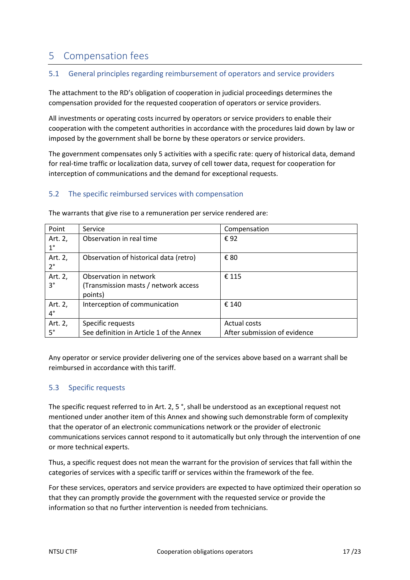## <span id="page-16-0"></span>5 Compensation fees

## <span id="page-16-1"></span>5.1 General principles regarding reimbursement of operators and service providers

The attachment to the RD's obligation of cooperation in judicial proceedings determines the compensation provided for the requested cooperation of operators or service providers.

All investments or operating costs incurred by operators or service providers to enable their cooperation with the competent authorities in accordance with the procedures laid down by law or imposed by the government shall be borne by these operators or service providers.

The government compensates only 5 activities with a specific rate: query of historical data, demand for real-time traffic or localization data, survey of cell tower data, request for cooperation for interception of communications and the demand for exceptional requests.

## <span id="page-16-2"></span>5.2 The specific reimbursed services with compensation

| Point                  | Service                                                                   | Compensation                                 |
|------------------------|---------------------------------------------------------------------------|----------------------------------------------|
| Art. 2,<br>$1^{\circ}$ | Observation in real time                                                  | €92                                          |
| Art. 2,<br>2°          | Observation of historical data (retro)                                    | € 80                                         |
| Art. 2,<br>$3^{\circ}$ | Observation in network<br>(Transmission masts / network access<br>points) | € 115                                        |
| Art. 2,<br>$4^{\circ}$ | Interception of communication                                             | € 140                                        |
| Art. 2,<br>$5^\circ$   | Specific requests<br>See definition in Article 1 of the Annex             | Actual costs<br>After submission of evidence |

The warrants that give rise to a remuneration per service rendered are:

Any operator or service provider delivering one of the services above based on a warrant shall be reimbursed in accordance with this tariff.

## <span id="page-16-3"></span>5.3 Specific requests

The specific request referred to in Art. 2, 5 °, shall be understood as an exceptional request not mentioned under another item of this Annex and showing such demonstrable form of complexity that the operator of an electronic communications network or the provider of electronic communications services cannot respond to it automatically but only through the intervention of one or more technical experts.

Thus, a specific request does not mean the warrant for the provision of services that fall within the categories of services with a specific tariff or services within the framework of the fee.

For these services, operators and service providers are expected to have optimized their operation so that they can promptly provide the government with the requested service or provide the information so that no further intervention is needed from technicians.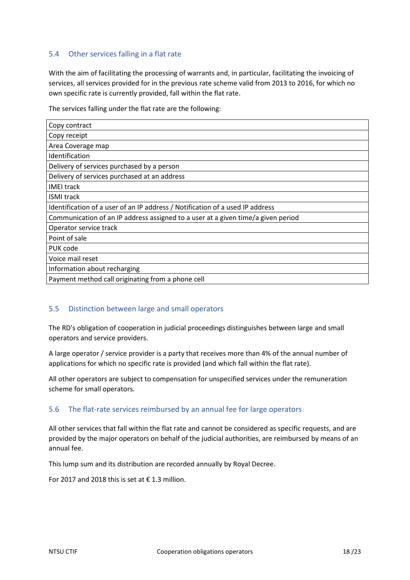## <span id="page-17-0"></span>5.4 Other services falling in a flat rate

With the aim of facilitating the processing of warrants and, in particular, facilitating the invoicing of services, all services provided for in the previous rate scheme valid from 2013 to 2016, for which no own specific rate is currently provided, fall within the flat rate.

The services falling under the flat rate are the following:

| Copy contract                                                                    |
|----------------------------------------------------------------------------------|
| Copy receipt                                                                     |
| Area Coverage map                                                                |
| Identification                                                                   |
| Delivery of services purchased by a person                                       |
| Delivery of services purchased at an address                                     |
| <b>IMEI track</b>                                                                |
| <b>ISMI track</b>                                                                |
| Identification of a user of an IP address / Notification of a used IP address    |
| Communication of an IP address assigned to a user at a given time/a given period |
| Operator service track                                                           |
| Point of sale                                                                    |
| PUK code                                                                         |
| Voice mail reset                                                                 |
| Information about recharging                                                     |
| Payment method call originating from a phone cell                                |

## <span id="page-17-1"></span>5.5 Distinction between large and small operators

The RD's obligation of cooperation in judicial proceedings distinguishes between large and small operators and service providers.

A large operator / service provider is a party that receives more than 4% of the annual number of applications for which no specific rate is provided (and which fall within the flat rate).

All other operators are subject to compensation for unspecified services under the remuneration scheme for small operators.

## <span id="page-17-2"></span>5.6 The flat-rate services reimbursed by an annual fee for large operators

All other services that fall within the flat rate and cannot be considered as specific requests, and are provided by the major operators on behalf of the judicial authorities, are reimbursed by means of an annual fee.

This lump sum and its distribution are recorded annually by Royal Decree.

For 2017 and 2018 this is set at  $\epsilon$  1.3 million.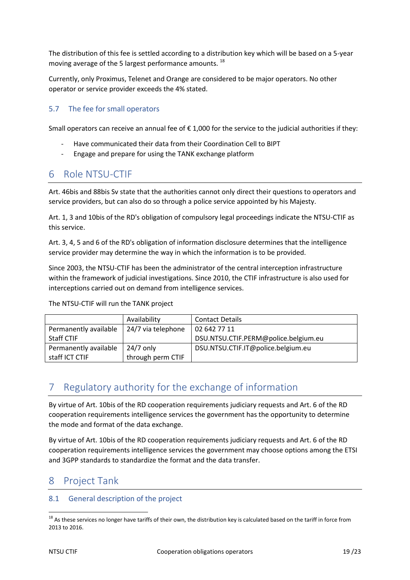The distribution of this fee is settled according to a distribution key which will be based on a 5-year moving average of the 5 largest performance amounts.<sup>18</sup>

Currently, only Proximus, Telenet and Orange are considered to be major operators. No other operator or service provider exceeds the 4% stated.

## <span id="page-18-0"></span>5.7 The fee for small operators

Small operators can receive an annual fee of  $\epsilon$  1,000 for the service to the judicial authorities if they:

- Have communicated their data from their Coordination Cell to BIPT
- Engage and prepare for using the TANK exchange platform

## <span id="page-18-1"></span>6 Role NTSU-CTIF

Art. 46bis and 88bis Sv state that the authorities cannot only direct their questions to operators and service providers, but can also do so through a police service appointed by his Majesty.

Art. 1, 3 and 10bis of the RD's obligation of compulsory legal proceedings indicate the NTSU-CTIF as this service.

Art. 3, 4, 5 and 6 of the RD's obligation of information disclosure determines that the intelligence service provider may determine the way in which the information is to be provided.

Since 2003, the NTSU-CTIF has been the administrator of the central interception infrastructure within the framework of judicial investigations. Since 2010, the CTIF infrastructure is also used for interceptions carried out on demand from intelligence services.

The NTSU-CTIF will run the TANK project

|                       | Availability       | <b>Contact Details</b>               |
|-----------------------|--------------------|--------------------------------------|
| Permanently available | 24/7 via telephone | 02 642 77 11                         |
| <b>Staff CTIF</b>     |                    | DSU.NTSU.CTIF.PERM@police.belgium.eu |
| Permanently available | $24/7$ only        | DSU.NTSU.CTIF.IT@police.belgium.eu   |
| staff ICT CTIF        | through perm CTIF  |                                      |

# <span id="page-18-2"></span>7 Regulatory authority for the exchange of information

By virtue of Art. 10bis of the RD cooperation requirements judiciary requests and Art. 6 of the RD cooperation requirements intelligence services the government has the opportunity to determine the mode and format of the data exchange.

By virtue of Art. 10bis of the RD cooperation requirements judiciary requests and Art. 6 of the RD cooperation requirements intelligence services the government may choose options among the ETSI and 3GPP standards to standardize the format and the data transfer.

# <span id="page-18-3"></span>8 Project Tank

## <span id="page-18-4"></span>8.1 General description of the project

**.** 

<sup>&</sup>lt;sup>18</sup> As these services no longer have tariffs of their own, the distribution key is calculated based on the tariff in force from 2013 to 2016.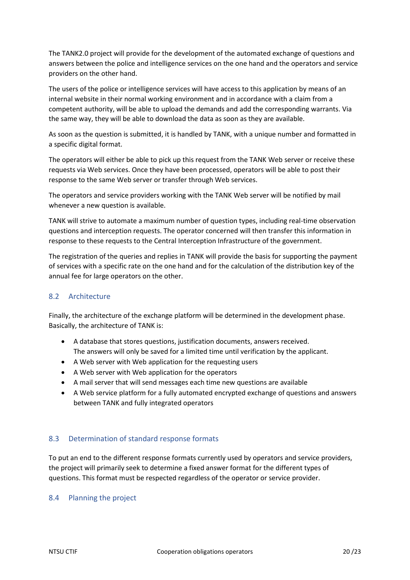The TANK2.0 project will provide for the development of the automated exchange of questions and answers between the police and intelligence services on the one hand and the operators and service providers on the other hand.

The users of the police or intelligence services will have access to this application by means of an internal website in their normal working environment and in accordance with a claim from a competent authority, will be able to upload the demands and add the corresponding warrants. Via the same way, they will be able to download the data as soon as they are available.

As soon as the question is submitted, it is handled by TANK, with a unique number and formatted in a specific digital format.

The operators will either be able to pick up this request from the TANK Web server or receive these requests via Web services. Once they have been processed, operators will be able to post their response to the same Web server or transfer through Web services.

The operators and service providers working with the TANK Web server will be notified by mail whenever a new question is available.

TANK will strive to automate a maximum number of question types, including real-time observation questions and interception requests. The operator concerned will then transfer this information in response to these requests to the Central Interception Infrastructure of the government.

The registration of the queries and replies in TANK will provide the basis for supporting the payment of services with a specific rate on the one hand and for the calculation of the distribution key of the annual fee for large operators on the other.

## <span id="page-19-0"></span>8.2 Architecture

Finally, the architecture of the exchange platform will be determined in the development phase. Basically, the architecture of TANK is:

- A database that stores questions, justification documents, answers received. The answers will only be saved for a limited time until verification by the applicant.
- A Web server with Web application for the requesting users
- A Web server with Web application for the operators
- A mail server that will send messages each time new questions are available
- A Web service platform for a fully automated encrypted exchange of questions and answers between TANK and fully integrated operators

## <span id="page-19-1"></span>8.3 Determination of standard response formats

To put an end to the different response formats currently used by operators and service providers, the project will primarily seek to determine a fixed answer format for the different types of questions. This format must be respected regardless of the operator or service provider.

## <span id="page-19-2"></span>8.4 Planning the project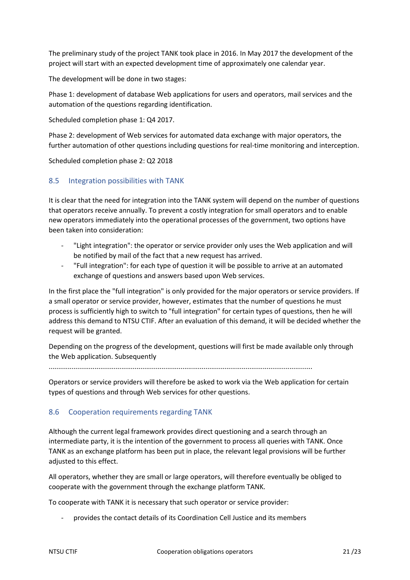The preliminary study of the project TANK took place in 2016. In May 2017 the development of the project will start with an expected development time of approximately one calendar year.

The development will be done in two stages:

Phase 1: development of database Web applications for users and operators, mail services and the automation of the questions regarding identification.

Scheduled completion phase 1: Q4 2017.

Phase 2: development of Web services for automated data exchange with major operators, the further automation of other questions including questions for real-time monitoring and interception.

Scheduled completion phase 2: Q2 2018

#### <span id="page-20-0"></span>8.5 Integration possibilities with TANK

It is clear that the need for integration into the TANK system will depend on the number of questions that operators receive annually. To prevent a costly integration for small operators and to enable new operators immediately into the operational processes of the government, two options have been taken into consideration:

- "Light integration": the operator or service provider only uses the Web application and will be notified by mail of the fact that a new request has arrived.
- "Full integration": for each type of question it will be possible to arrive at an automated exchange of questions and answers based upon Web services.

In the first place the "full integration" is only provided for the major operators or service providers. If a small operator or service provider, however, estimates that the number of questions he must process is sufficiently high to switch to "full integration" for certain types of questions, then he will address this demand to NTSU CTIF. After an evaluation of this demand, it will be decided whether the request will be granted.

Depending on the progress of the development, questions will first be made available only through the Web application. Subsequently

..........................................................................................................................................

Operators or service providers will therefore be asked to work via the Web application for certain types of questions and through Web services for other questions.

#### <span id="page-20-1"></span>8.6 Cooperation requirements regarding TANK

Although the current legal framework provides direct questioning and a search through an intermediate party, it is the intention of the government to process all queries with TANK. Once TANK as an exchange platform has been put in place, the relevant legal provisions will be further adjusted to this effect.

All operators, whether they are small or large operators, will therefore eventually be obliged to cooperate with the government through the exchange platform TANK.

To cooperate with TANK it is necessary that such operator or service provider:

- provides the contact details of its Coordination Cell Justice and its members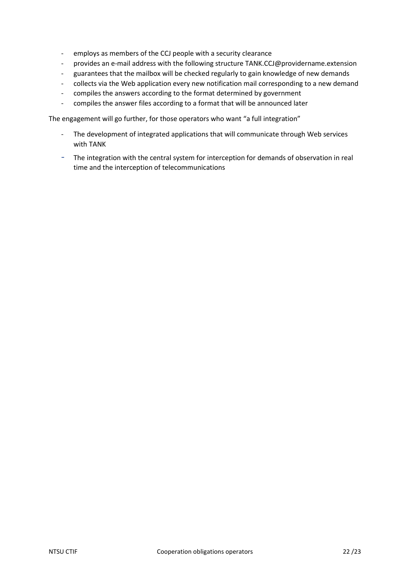- employs as members of the CCJ people with a security clearance
- provides an e-mail address with the following structure TANK.CCJ@providername.extension
- guarantees that the mailbox will be checked regularly to gain knowledge of new demands
- collects via the Web application every new notification mail corresponding to a new demand
- compiles the answers according to the format determined by government
- compiles the answer files according to a format that will be announced later

The engagement will go further, for those operators who want "a full integration"

- The development of integrated applications that will communicate through Web services with TANK
- The integration with the central system for interception for demands of observation in real time and the interception of telecommunications